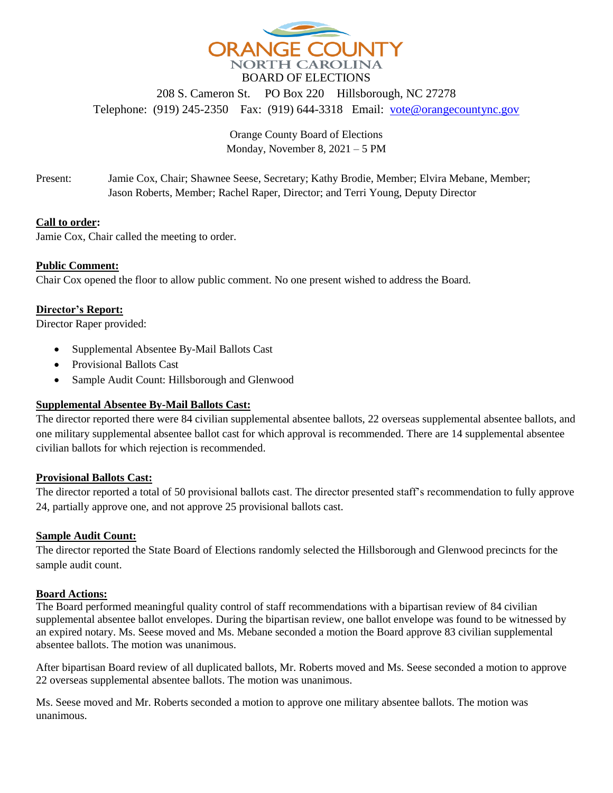

208 S. Cameron St. PO Box 220 Hillsborough, NC 27278 Telephone: (919) 245-2350 Fax: (919) 644-3318 Email: [vote@orangecountync.gov](mailto:vote@orangecountync.gov)

> Orange County Board of Elections Monday, November 8, 2021 – 5 PM

Present: Jamie Cox, Chair; Shawnee Seese, Secretary; Kathy Brodie, Member; Elvira Mebane, Member; Jason Roberts, Member; Rachel Raper, Director; and Terri Young, Deputy Director

# **Call to order:**

Jamie Cox, Chair called the meeting to order.

# **Public Comment:**

Chair Cox opened the floor to allow public comment. No one present wished to address the Board.

# **Director's Report:**

Director Raper provided:

- Supplemental Absentee By-Mail Ballots Cast
- Provisional Ballots Cast
- Sample Audit Count: Hillsborough and Glenwood

# **Supplemental Absentee By-Mail Ballots Cast:**

The director reported there were 84 civilian supplemental absentee ballots, 22 overseas supplemental absentee ballots, and one military supplemental absentee ballot cast for which approval is recommended. There are 14 supplemental absentee civilian ballots for which rejection is recommended.

### **Provisional Ballots Cast:**

The director reported a total of 50 provisional ballots cast. The director presented staff's recommendation to fully approve 24, partially approve one, and not approve 25 provisional ballots cast.

### **Sample Audit Count:**

The director reported the State Board of Elections randomly selected the Hillsborough and Glenwood precincts for the sample audit count.

### **Board Actions:**

The Board performed meaningful quality control of staff recommendations with a bipartisan review of 84 civilian supplemental absentee ballot envelopes. During the bipartisan review, one ballot envelope was found to be witnessed by an expired notary. Ms. Seese moved and Ms. Mebane seconded a motion the Board approve 83 civilian supplemental absentee ballots. The motion was unanimous.

After bipartisan Board review of all duplicated ballots, Mr. Roberts moved and Ms. Seese seconded a motion to approve 22 overseas supplemental absentee ballots. The motion was unanimous.

Ms. Seese moved and Mr. Roberts seconded a motion to approve one military absentee ballots. The motion was unanimous.